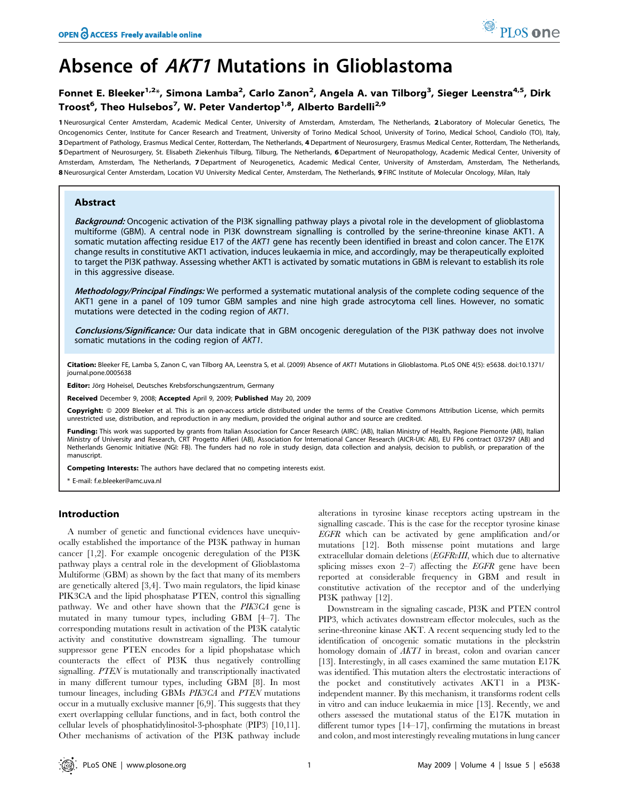# Absence of AKT1 Mutations in Glioblastoma

# Fonnet E. Bleeker<sup>1,2</sup>\*, Simona Lamba<sup>2</sup>, Carlo Zanon<sup>2</sup>, Angela A. van Tilborg<sup>3</sup>, Sieger Leenstra<sup>4,5</sup>, Dirk Troost<sup>6</sup>, Theo Hulsebos<sup>7</sup>, W. Peter Vandertop<sup>1,8</sup>, Alberto Bardelli<sup>2,9</sup>

1 Neurosurgical Center Amsterdam, Academic Medical Center, University of Amsterdam, Amsterdam, The Netherlands, 2 Laboratory of Molecular Genetics, The Oncogenomics Center, Institute for Cancer Research and Treatment, University of Torino Medical School, University of Torino, Medical School, Candiolo (TO), Italy, 3 Department of Pathology, Erasmus Medical Center, Rotterdam, The Netherlands, 4 Department of Neurosurgery, Erasmus Medical Center, Rotterdam, The Netherlands, 5 Department of Neurosurgery, St. Elisabeth Ziekenhuis Tilburg, Tilburg, The Netherlands, 6Department of Neuropathology, Academic Medical Center, University of Amsterdam, Amsterdam, The Netherlands, 7Department of Neurogenetics, Academic Medical Center, University of Amsterdam, Amsterdam, The Netherlands, 8 Neurosurgical Center Amsterdam, Location VU University Medical Center, Amsterdam, The Netherlands, 9 FIRC Institute of Molecular Oncology, Milan, Italy

# Abstract

Background: Oncogenic activation of the PI3K signalling pathway plays a pivotal role in the development of glioblastoma multiforme (GBM). A central node in PI3K downstream signalling is controlled by the serine-threonine kinase AKT1. A somatic mutation affecting residue E17 of the AKT1 gene has recently been identified in breast and colon cancer. The E17K change results in constitutive AKT1 activation, induces leukaemia in mice, and accordingly, may be therapeutically exploited to target the PI3K pathway. Assessing whether AKT1 is activated by somatic mutations in GBM is relevant to establish its role in this aggressive disease.

Methodology/Principal Findings: We performed a systematic mutational analysis of the complete coding sequence of the AKT1 gene in a panel of 109 tumor GBM samples and nine high grade astrocytoma cell lines. However, no somatic mutations were detected in the coding region of AKT1.

Conclusions/Significance: Our data indicate that in GBM oncogenic deregulation of the PI3K pathway does not involve somatic mutations in the coding region of AKT1.

Citation: Bleeker FE, Lamba S, Zanon C, van Tilborg AA, Leenstra S, et al. (2009) Absence of AKT1 Mutations in Glioblastoma. PLoS ONE 4(5): e5638. doi:10.1371/ journal.pone.0005638

Editor: Jörg Hoheisel, Deutsches Krebsforschungszentrum, Germany

Received December 9, 2008; Accepted April 9, 2009; Published May 20, 2009

Copyright: © 2009 Bleeker et al. This is an open-access article distributed under the terms of the Creative Commons Attribution License, which permits unrestricted use, distribution, and reproduction in any medium, provided the original author and source are credited.

Funding: This work was supported by grants from Italian Association for Cancer Research (AIRC: (AB), Italian Ministry of Health, Regione Piemonte (AB), Italian Ministry of University and Research, CRT Progetto Alfieri (AB), Association for International Cancer Research (AICR-UK: AB), EU FP6 contract 037297 (AB) and Netherlands Genomic Initiative (NGI: FB). The funders had no role in study design, data collection and analysis, decision to publish, or preparation of the manuscript.

Competing Interests: The authors have declared that no competing interests exist.

\* E-mail: f.e.bleeker@amc.uva.nl

### Introduction

A number of genetic and functional evidences have unequivocally established the importance of the PI3K pathway in human cancer [1,2]. For example oncogenic deregulation of the PI3K pathway plays a central role in the development of Glioblastoma Multiforme (GBM) as shown by the fact that many of its members are genetically altered [3,4]. Two main regulators, the lipid kinase PIK3CA and the lipid phosphatase PTEN, control this signalling pathway. We and other have shown that the PIK3CA gene is mutated in many tumour types, including GBM [4–7]. The corresponding mutations result in activation of the PI3K catalytic activity and constitutive downstream signalling. The tumour suppressor gene PTEN encodes for a lipid phopshatase which counteracts the effect of PI3K thus negatively controlling signalling. PTEN is mutationally and transcriptionally inactivated in many different tumour types, including GBM [8]. In most tumour lineages, including GBMs PIK3CA and PTEN mutations occur in a mutually exclusive manner [6,9]. This suggests that they exert overlapping cellular functions, and in fact, both control the cellular levels of phosphatidylinositol-3-phosphate (PIP3) [10,11]. Other mechanisms of activation of the PI3K pathway include alterations in tyrosine kinase receptors acting upstream in the signalling cascade. This is the case for the receptor tyrosine kinase EGFR which can be activated by gene amplification and/or mutations [12]. Both missense point mutations and large extracellular domain deletions (EGFRvIII, which due to alternative splicing misses exon  $2-7$ ) affecting the *EGFR* gene have been reported at considerable frequency in GBM and result in constitutive activation of the receptor and of the underlying PI3K pathway [12].

Downstream in the signaling cascade, PI3K and PTEN control PIP3, which activates downstream effector molecules, such as the serine-threonine kinase AKT. A recent sequencing study led to the identification of oncogenic somatic mutations in the pleckstrin homology domain of  $AKTI$  in breast, colon and ovarian cancer [13]. Interestingly, in all cases examined the same mutation E17K was identified. This mutation alters the electrostatic interactions of the pocket and constitutively activates AKT1 in a PI3Kindependent manner. By this mechanism, it transforms rodent cells in vitro and can induce leukaemia in mice [13]. Recently, we and others assessed the mutational status of the E17K mutation in different tumor types [14–17], confirming the mutations in breast and colon, and most interestingly revealing mutations in lung cancer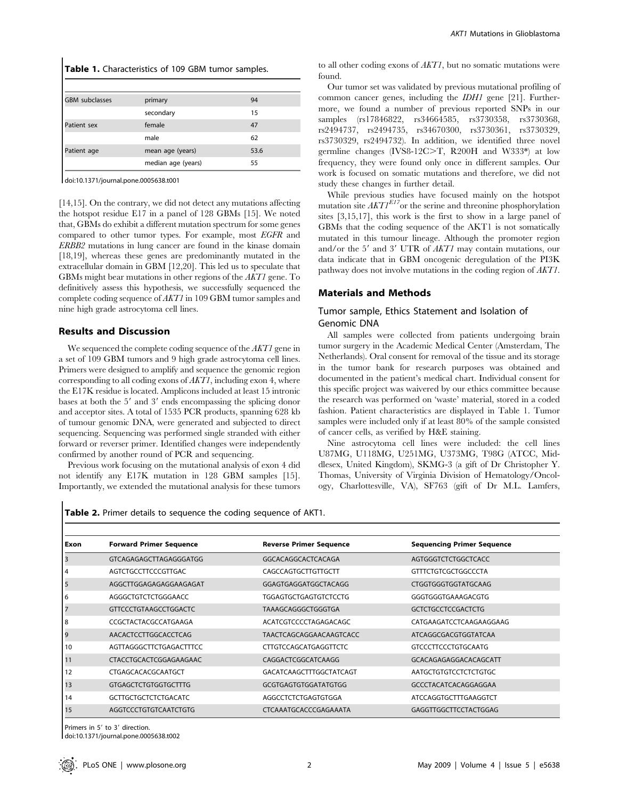| Table 1. Characteristics of 109 GBM tumor samples. |  |
|----------------------------------------------------|--|
|----------------------------------------------------|--|

| <b>GBM</b> subclasses | primary            | 94   |
|-----------------------|--------------------|------|
|                       | secondary          | 15   |
| Patient sex           | female             | 47   |
|                       | male               | 62   |
| Patient age           | mean age (years)   | 53.6 |
|                       | median age (years) | 55   |

doi:10.1371/journal.pone.0005638.t001

[14,15]. On the contrary, we did not detect any mutations affecting the hotspot residue E17 in a panel of 128 GBMs [15]. We noted that, GBMs do exhibit a different mutation spectrum for some genes compared to other tumor types. For example, most EGFR and ERBB2 mutations in lung cancer are found in the kinase domain [18,19], whereas these genes are predominantly mutated in the extracellular domain in GBM [12,20]. This led us to speculate that GBMs might bear mutations in other regions of the AKT1 gene. To definitively assess this hypothesis, we successfully sequenced the complete coding sequence of AKT1 in 109 GBM tumor samples and nine high grade astrocytoma cell lines.

### Results and Discussion

We sequenced the complete coding sequence of the *AKT1* gene in a set of 109 GBM tumors and 9 high grade astrocytoma cell lines. Primers were designed to amplify and sequence the genomic region corresponding to all coding exons of AKT1, including exon 4, where the E17K residue is located. Amplicons included at least 15 intronic bases at both the 5' and 3' ends encompassing the splicing donor and acceptor sites. A total of 1535 PCR products, spanning 628 kb of tumour genomic DNA, were generated and subjected to direct sequencing. Sequencing was performed single stranded with either forward or reverser primer. Identified changes were independently confirmed by another round of PCR and sequencing.

Previous work focusing on the mutational analysis of exon 4 did not identify any E17K mutation in 128 GBM samples [15]. Importantly, we extended the mutational analysis for these tumors

to all other coding exons of AKT1, but no somatic mutations were found.

Our tumor set was validated by previous mutational profiling of common cancer genes, including the IDH1 gene [21]. Furthermore, we found a number of previous reported SNPs in our samples (rs17846822, rs34664585, rs3730358, rs3730368, rs2494737, rs2494735, rs34670300, rs3730361, rs3730329, rs3730329, rs2494732). In addition, we identified three novel germline changes (IVS8-12C $\geq$ T, R200H and W333\*) at low frequency, they were found only once in different samples. Our work is focused on somatic mutations and therefore, we did not study these changes in further detail.

While previous studies have focused mainly on the hotspot mutation site  $AKTI<sup>E17</sup>$  or the serine and threonine phosphorylation sites [3,15,17], this work is the first to show in a large panel of GBMs that the coding sequence of the AKT1 is not somatically mutated in this tumour lineage. Although the promoter region and/or the 5' and 3' UTR of AKT1 may contain mutations, our data indicate that in GBM oncogenic deregulation of the PI3K pathway does not involve mutations in the coding region of AKT1.

#### Materials and Methods

## Tumor sample, Ethics Statement and Isolation of Genomic DNA

All samples were collected from patients undergoing brain tumor surgery in the Academic Medical Center (Amsterdam, The Netherlands). Oral consent for removal of the tissue and its storage in the tumor bank for research purposes was obtained and documented in the patient's medical chart. Individual consent for this specific project was waivered by our ethics committee because the research was performed on 'waste' material, stored in a coded fashion. Patient characteristics are displayed in Table 1. Tumor samples were included only if at least 80% of the sample consisted of cancer cells, as verified by H&E staining.

Nine astrocytoma cell lines were included: the cell lines U87MG, U118MG, U251MG, U373MG, T98G (ATCC, Middlesex, United Kingdom), SKMG-3 (a gift of Dr Christopher Y. Thomas, University of Virginia Division of Hematology/Oncology, Charlottesville, VA), SF763 (gift of Dr M.L. Lamfers,

Table 2. Primer details to sequence the coding sequence of AKT1.

| Exon | <b>Forward Primer Sequence</b> | <b>Reverse Primer Sequence</b> | <b>Sequencing Primer Sequence</b> |
|------|--------------------------------|--------------------------------|-----------------------------------|
|      | GTCAGAGAGCTTAGAGGGATGG         | GGCACAGGCACTCACAGA             | AGTGGGTCTCTGGCTCACC               |
| 4    | AGTCTGCCTTCCCGTTGAC            | CAGCCAGTGCTTGTTGCTT            | <b>GTTTCTGTCGCTGGCCCTA</b>        |
| 5    | AGGCTTGGAGAGAGGAAGAGAT         | GGAGTGAGGATGGCTACAGG           | CTGGTGGGTGGTATGCAAG               |
| 6    | AGGGCTGTCTCTGGGAACC            | <b>TGGAGTGCTGAGTGTCTCCTG</b>   | GGGTGGGTGAAAGACGTG                |
|      | <b>GTTCCCTGTAAGCCTGGACTC</b>   | TAAAGCAGGGCTGGGTGA             | <b>GCTCTGCCTCCGACTCTG</b>         |
| 8    | CCGCTACTACGCCATGAAGA           | ACATCGTCCCCTAGAGACAGC          | CATGAAGATCCTCAAGAAGGAAG           |
| 9    | AACACTCCTTGGCACCTCAG           | <b>TAACTCAGCAGGAACAAGTCACC</b> | ATCAGGCGACGTGGTATCAA              |
| 10   | AGTTAGGGCTTCTGAGACTTTCC        | <b>CTTGTCCAGCATGAGGTTCTC</b>   | <b>GTCCCTTCCCTGTGCAATG</b>        |
| 11   | CTACCTGCACTCGGAGAAGAAC         | CAGGACTCGGCATCAAGG             | GCACAGAGAGGACACAGCATT             |
| 12   | CTGAGCACACGCAATGCT             | GACATCAAGCTTTGGCTATCAGT        | <b>AATGCTGTGTCCTCTCTGTGC</b>      |
| 13   | <b>GTGAGCTCTGTGGTGCTTTG</b>    | <b>GCGTGAGTGTGGATATGTGG</b>    | GCCCTACATCACAGGAGGAA              |
| 14   | <b>GCTTGCTGCTCTCTGACATC</b>    | AGGCCTCTCTGAGTGTGGA            | ATCCAGGTGCTTTGAAGGTCT             |
| 15   | AGGTCCCTGTGTCAATCTGTG          | CTCAAATGCACCCGAGAAATA          | GAGGTTGGCTTCCTACTGGAG             |

Primers in 5' to 3' direction. doi:10.1371/journal.pone.0005638.t002